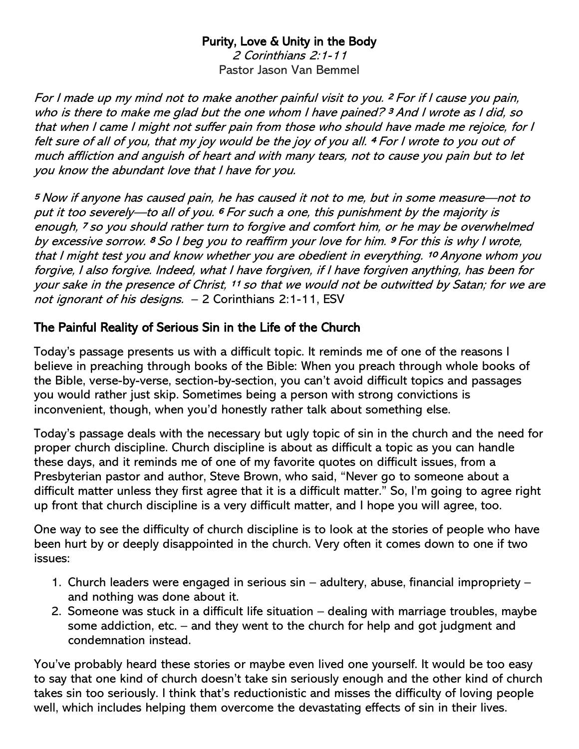## Purity, Love & Unity in the Body

2 Corinthians 2:1-11 Pastor Jason Van Bemmel

For I made up my mind not to make another painful visit to you. <sup>2</sup>For if I cause you pain, who is there to make me glad but the one whom I have pained?  $3$  And I wrote as I did, so that when I came I might not suffer pain from those who should have made me rejoice, for I felt sure of all of you, that my joy would be the joy of you all. <sup>4</sup>For I wrote to you out of much affliction and anguish of heart and with many tears, not to cause you pain but to let you know the abundant love that I have for you.

<sup>5</sup>Now if anyone has caused pain, he has caused it not to me, but in some measure—not to put it too severely—to all of you. 6 For such a one, this punishment by the majority is enough, <sup>7</sup>so you should rather turn to forgive and comfort him, or he may be overwhelmed by excessive sorrow. <sup>8</sup>So I beg you to reaffirm your love for him. <sup>9</sup>For this is why I wrote, that I might test you and know whether you are obedient in everything. <sup>10</sup>Anyone whom you forgive, I also forgive. Indeed, what I have forgiven, if I have forgiven anything, has been for your sake in the presence of Christ, 11 so that we would not be outwitted by Satan; for we are not ignorant of his designs. – 2 Corinthians 2:1-11, ESV

## The Painful Reality of Serious Sin in the Life of the Church

Today's passage presents us with a difficult topic. It reminds me of one of the reasons I believe in preaching through books of the Bible: When you preach through whole books of the Bible, verse-by-verse, section-by-section, you can't avoid difficult topics and passages you would rather just skip. Sometimes being a person with strong convictions is inconvenient, though, when you'd honestly rather talk about something else.

Today's passage deals with the necessary but ugly topic of sin in the church and the need for proper church discipline. Church discipline is about as difficult a topic as you can handle these days, and it reminds me of one of my favorite quotes on difficult issues, from a Presbyterian pastor and author, Steve Brown, who said, "Never go to someone about a difficult matter unless they first agree that it is a difficult matter." So, I'm going to agree right up front that church discipline is a very difficult matter, and I hope you will agree, too.

One way to see the difficulty of church discipline is to look at the stories of people who have been hurt by or deeply disappointed in the church. Very often it comes down to one if two issues:

- 1. Church leaders were engaged in serious sin adultery, abuse, financial impropriety and nothing was done about it.
- 2. Someone was stuck in a difficult life situation dealing with marriage troubles, maybe some addiction, etc. – and they went to the church for help and got judgment and condemnation instead.

You've probably heard these stories or maybe even lived one yourself. It would be too easy to say that one kind of church doesn't take sin seriously enough and the other kind of church takes sin too seriously. I think that's reductionistic and misses the difficulty of loving people well, which includes helping them overcome the devastating effects of sin in their lives.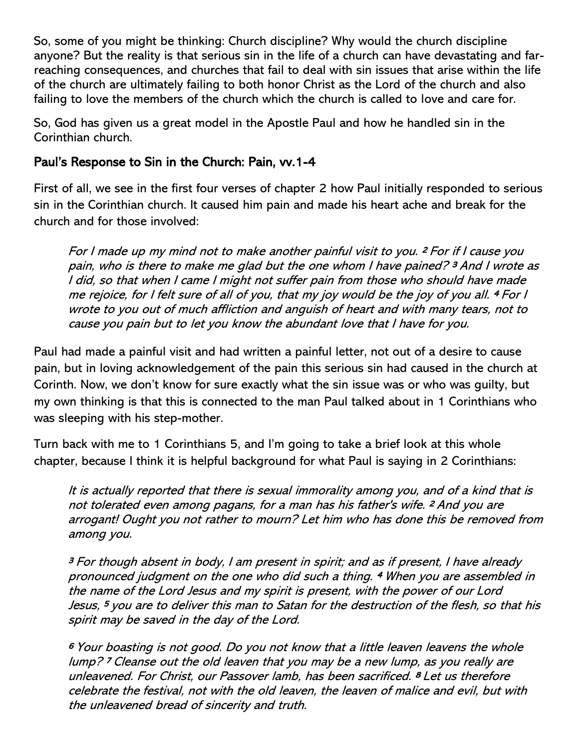So, some of you might be thinking: Church discipline? Why would the church discipline anyone? But the reality is that serious sin in the life of a church can have devastating and farreaching consequences, and churches that fail to deal with sin issues that arise within the life of the church are ultimately failing to both honor Christ as the Lord of the church and also failing to love the members of the church which the church is called to love and care for.

So, God has given us a great model in the Apostle Paul and how he handled sin in the Corinthian church.

## Paul's Response to Sin in the Church: Pain, vv.1-4

First of all, we see in the first four verses of chapter 2 how Paul initially responded to serious sin in the Corinthian church. It caused him pain and made his heart ache and break for the church and for those involved:

For I made up my mind not to make another painful visit to you. <sup>2</sup>For if I cause you pain, who is there to make me glad but the one whom I have pained? <sup>3</sup>And I wrote as I did, so that when I came I might not suffer pain from those who should have made me rejoice, for I felt sure of all of you, that my joy would be the joy of you all. <sup>4</sup>For I wrote to you out of much affliction and anguish of heart and with many tears, not to cause you pain but to let you know the abundant love that I have for you.

Paul had made a painful visit and had written a painful letter, not out of a desire to cause pain, but in loving acknowledgement of the pain this serious sin had caused in the church at Corinth. Now, we don't know for sure exactly what the sin issue was or who was guilty, but my own thinking is that this is connected to the man Paul talked about in 1 Corinthians who was sleeping with his step-mother.

Turn back with me to 1 Corinthians 5, and I'm going to take a brief look at this whole chapter, because I think it is helpful background for what Paul is saying in 2 Corinthians:

It is actually reported that there is sexual immorality among you, and of a kind that is not tolerated even among pagans, for a man has his father's wife. <sup>2</sup>And you are arrogant! Ought you not rather to mourn? Let him who has done this be removed from among you.

<sup>3</sup>For though absent in body, I am present in spirit; and as if present, I have already pronounced judgment on the one who did such a thing. <sup>4</sup>When you are assembled in the name of the Lord Jesus and my spirit is present, with the power of our Lord Jesus, <sup>5</sup>you are to deliver this man to Satan for the destruction of the flesh, so that his spirit may be saved in the day of the Lord.

<sup>6</sup>Your boasting is not good. Do you not know that a little leaven leavens the whole lump? <sup>7</sup>Cleanse out the old leaven that you may be a new lump, as you really are unleavened. For Christ, our Passover lamb, has been sacrificed. <sup>8</sup>Let us therefore celebrate the festival, not with the old leaven, the leaven of malice and evil, but with the unleavened bread of sincerity and truth.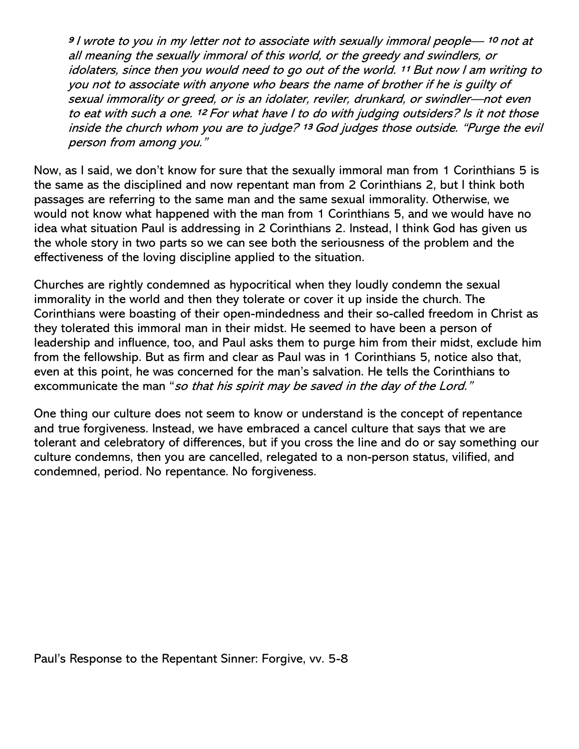<sup>9</sup> l wrote to you in my letter not to associate with sexually immoral people— <sup>10</sup> not at all meaning the sexually immoral of this world, or the greedy and swindlers, or idolaters, since then you would need to go out of the world. 11 But now I am writing to you not to associate with anyone who bears the name of brother if he is guilty of sexual immorality or greed, or is an idolater, reviler, drunkard, or swindler—not even to eat with such a one. 12 For what have I to do with judging outsiders? Is it not those inside the church whom you are to judge? <sup>13</sup> God judges those outside. "Purge the evil person from among you."

Now, as I said, we don't know for sure that the sexually immoral man from 1 Corinthians 5 is the same as the disciplined and now repentant man from 2 Corinthians 2, but I think both passages are referring to the same man and the same sexual immorality. Otherwise, we would not know what happened with the man from 1 Corinthians 5, and we would have no idea what situation Paul is addressing in 2 Corinthians 2. Instead, I think God has given us the whole story in two parts so we can see both the seriousness of the problem and the effectiveness of the loving discipline applied to the situation.

Churches are rightly condemned as hypocritical when they loudly condemn the sexual immorality in the world and then they tolerate or cover it up inside the church. The Corinthians were boasting of their open-mindedness and their so-called freedom in Christ as they tolerated this immoral man in their midst. He seemed to have been a person of leadership and influence, too, and Paul asks them to purge him from their midst, exclude him from the fellowship. But as firm and clear as Paul was in 1 Corinthians 5, notice also that, even at this point, he was concerned for the man's salvation. He tells the Corinthians to excommunicate the man "so that his spirit may be saved in the day of the Lord."

One thing our culture does not seem to know or understand is the concept of repentance and true forgiveness. Instead, we have embraced a cancel culture that says that we are tolerant and celebratory of differences, but if you cross the line and do or say something our culture condemns, then you are cancelled, relegated to a non-person status, vilified, and condemned, period. No repentance. No forgiveness.

Paul's Response to the Repentant Sinner: Forgive, vv. 5-8